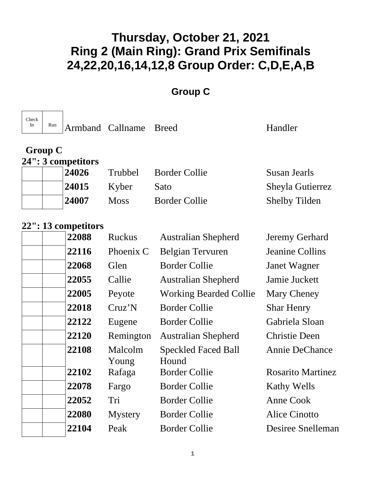#### **Group C**

| Check<br>In | Run            |                    | Armband Callname Breed |                      | Handler              |
|-------------|----------------|--------------------|------------------------|----------------------|----------------------|
|             | <b>Group C</b> | 24": 3 competitors |                        |                      |                      |
|             |                | 24026              | <b>Trubbel</b>         | <b>Border Collie</b> | Susan Jearls         |
|             |                | 24015              | Kyber                  | Sato                 | Sheyla Gutierrez     |
|             |                | 24007              | <b>Moss</b>            | <b>Border Collie</b> | <b>Shelby Tilden</b> |

| 22088 | <b>Ruckus</b>    | <b>Australian Shepherd</b>          | Jeremy Gerhard           |
|-------|------------------|-------------------------------------|--------------------------|
| 22116 | Phoenix C        | <b>Belgian Tervuren</b>             | <b>Jeanine Collins</b>   |
| 22068 | Glen             | <b>Border Collie</b>                | Janet Wagner             |
| 22055 | Callie           | <b>Australian Shepherd</b>          | Jamie Juckett            |
| 22005 | Peyote           | <b>Working Bearded Collie</b>       | Mary Cheney              |
| 22018 | Cruz'N           | <b>Border Collie</b>                | <b>Shar Henry</b>        |
| 22122 | Eugene           | <b>Border Collie</b>                | Gabriela Sloan           |
| 22120 | Remington        | <b>Australian Shepherd</b>          | <b>Christie Deen</b>     |
| 22108 | Malcolm<br>Young | <b>Speckled Faced Ball</b><br>Hound | <b>Annie DeChance</b>    |
| 22102 | Rafaga           | <b>Border Collie</b>                | <b>Rosarito Martinez</b> |
| 22078 | Fargo            | <b>Border Collie</b>                | <b>Kathy Wells</b>       |
| 22052 | Tri              | <b>Border Collie</b>                | Anne Cook                |
| 22080 | <b>Mystery</b>   | <b>Border Collie</b>                | Alice Cinotto            |
| 22104 | Peak             | <b>Border Collie</b>                | Desiree Snelleman        |
|       |                  |                                     |                          |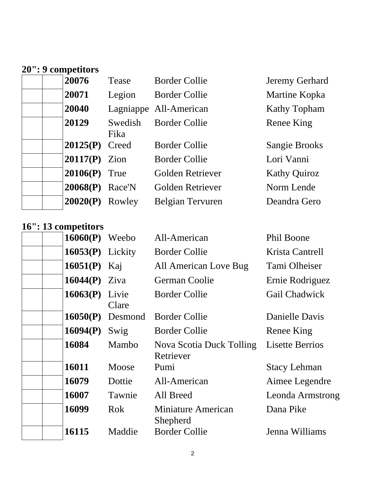# **20": 9 competitors**

| 20076           | Tease           | <b>Border Collie</b>    | Jeremy Gerhard       |
|-----------------|-----------------|-------------------------|----------------------|
| 20071           | Legion          | <b>Border Collie</b>    | Martine Kopka        |
| 20040           |                 | Lagniappe All-American  | <b>Kathy Topham</b>  |
| 20129           | Swedish<br>Fika | <b>Border Collie</b>    | Renee King           |
| 20125(P)        | Creed           | <b>Border Collie</b>    | <b>Sangie Brooks</b> |
| $20117(P)$ Zion |                 | <b>Border Collie</b>    | Lori Vanni           |
| 20106(P)        | True            | Golden Retriever        | <b>Kathy Quiroz</b>  |
| 20068(P)        | Race'N          | Golden Retriever        | Norm Lende           |
| 20020(P)        | Rowley          | <b>Belgian Tervuren</b> | Deandra Gero         |

| $10.10$ competitors |                    |                                       |                         |
|---------------------|--------------------|---------------------------------------|-------------------------|
| $16060(P)$ Weebo    |                    | All-American                          | Phil Boone              |
| $16053(P)$ Lickity  |                    | <b>Border Collie</b>                  | Krista Cantrell         |
| 16051(P) Kaj        |                    | All American Love Bug                 | Tami Olheiser           |
| 16044 $(P)$ Ziva    |                    | German Coolie                         | Ernie Rodriguez         |
| $16063(P)$ Livie    | Clare              | <b>Border Collie</b>                  | Gail Chadwick           |
|                     | $16050(P)$ Desmond | <b>Border Collie</b>                  | Danielle Davis          |
| 16094(P)            | Swig               | <b>Border Collie</b>                  | Renee King              |
| 16084               | Mambo              | Nova Scotia Duck Tolling<br>Retriever | <b>Lisette Berrios</b>  |
| 16011               | Moose              | Pumi                                  | <b>Stacy Lehman</b>     |
| 16079               | Dottie             | All-American                          | Aimee Legendre          |
| 16007               | Tawnie             | All Breed                             | <b>Leonda Armstrong</b> |
| 16099               | <b>Rok</b>         | <b>Miniature American</b><br>Shepherd | Dana Pike               |
| 16115               | Maddie             | <b>Border Collie</b>                  | Jenna Williams          |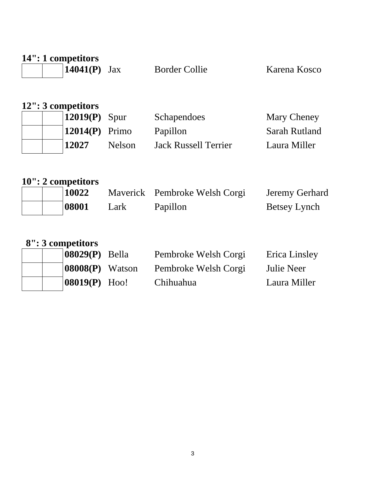| 14": 1 competitors<br>14041(P) | Jax           | <b>Border Collie</b>        | Karena Kosco  |
|--------------------------------|---------------|-----------------------------|---------------|
| 12": 3 competitors<br>12019(P) | Spur          | Schapendoes                 | Mary Cheney   |
| 12014(P)                       | Primo         | Papillon                    | Sarah Rutland |
| 12027                          | <b>Nelson</b> | <b>Jack Russell Terrier</b> | Laura Miller  |
|                                |               |                             |               |

|  | 10": 2 competitors |
|--|--------------------|
|--|--------------------|

|  | 10022 |      | Maverick Pembroke Welsh Corgi | <b>Jeremy Gerhard</b> |
|--|-------|------|-------------------------------|-----------------------|
|  | 08001 | Lark | Papillon                      | Betsey Lynch          |

|  |  | 8": 3 competitors |
|--|--|-------------------|
|--|--|-------------------|

| $\upsilon$ . $\upsilon$ compenses |                    |                      |               |
|-----------------------------------|--------------------|----------------------|---------------|
|                                   | $ 08029(P)$ Bella  | Pembroke Welsh Corgi | Erica Linsley |
|                                   | $ 08008(P)$ Watson | Pembroke Welsh Corgi | Julie Neer    |
|                                   | $ 08019(P)$ Hoo!   | Chihuahua            | Laura Miller  |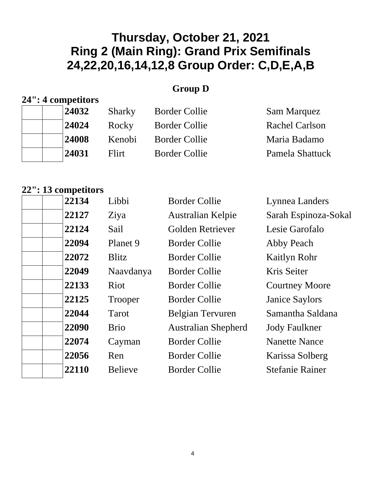#### **Group D**

### **24": 4 competitors**

| 24032 | Sharky | <b>Border Collie</b> | <b>Sam Marquez</b> |
|-------|--------|----------------------|--------------------|
| 24024 | Rocky  | <b>Border Collie</b> | Rachel Carlson     |
| 24008 | Kenobi | <b>Border Collie</b> | Maria Badamo       |
| 24031 | Flirt  | <b>Border Collie</b> | Pamela Shattuck    |

| 22127<br>Sarah Espinoza-Sokal<br><b>Australian Kelpie</b><br>Ziya<br>22124<br>Golden Retriever<br>Sail<br>Lesie Garofalo<br>22094<br>Planet 9<br><b>Border Collie</b><br>Abby Peach<br>22072<br><b>Blitz</b><br><b>Border Collie</b><br>Kaitlyn Rohr<br>22049<br>Naavdanya<br><b>Border Collie</b><br>Kris Seiter<br>22133<br><b>Riot</b><br><b>Border Collie</b><br><b>Courtney Moore</b><br>22125<br><b>Border Collie</b><br><b>Janice Saylors</b><br>Trooper<br>22044<br>Samantha Saldana<br><b>Belgian Tervuren</b><br>Tarot<br>22090<br><b>Brio</b><br><b>Australian Shepherd</b><br><b>Jody Faulkner</b><br>22074<br><b>Border Collie</b><br><b>Nanette Nance</b><br>Cayman<br>22056<br><b>Border Collie</b><br>Karissa Solberg<br>Ren<br>22110<br><b>Stefanie Rainer</b><br><b>Believe</b><br><b>Border Collie</b> | 22134 | Libbi | <b>Border Collie</b> | Lynnea Landers |
|---------------------------------------------------------------------------------------------------------------------------------------------------------------------------------------------------------------------------------------------------------------------------------------------------------------------------------------------------------------------------------------------------------------------------------------------------------------------------------------------------------------------------------------------------------------------------------------------------------------------------------------------------------------------------------------------------------------------------------------------------------------------------------------------------------------------------|-------|-------|----------------------|----------------|
|                                                                                                                                                                                                                                                                                                                                                                                                                                                                                                                                                                                                                                                                                                                                                                                                                           |       |       |                      |                |
|                                                                                                                                                                                                                                                                                                                                                                                                                                                                                                                                                                                                                                                                                                                                                                                                                           |       |       |                      |                |
|                                                                                                                                                                                                                                                                                                                                                                                                                                                                                                                                                                                                                                                                                                                                                                                                                           |       |       |                      |                |
|                                                                                                                                                                                                                                                                                                                                                                                                                                                                                                                                                                                                                                                                                                                                                                                                                           |       |       |                      |                |
|                                                                                                                                                                                                                                                                                                                                                                                                                                                                                                                                                                                                                                                                                                                                                                                                                           |       |       |                      |                |
|                                                                                                                                                                                                                                                                                                                                                                                                                                                                                                                                                                                                                                                                                                                                                                                                                           |       |       |                      |                |
|                                                                                                                                                                                                                                                                                                                                                                                                                                                                                                                                                                                                                                                                                                                                                                                                                           |       |       |                      |                |
|                                                                                                                                                                                                                                                                                                                                                                                                                                                                                                                                                                                                                                                                                                                                                                                                                           |       |       |                      |                |
|                                                                                                                                                                                                                                                                                                                                                                                                                                                                                                                                                                                                                                                                                                                                                                                                                           |       |       |                      |                |
|                                                                                                                                                                                                                                                                                                                                                                                                                                                                                                                                                                                                                                                                                                                                                                                                                           |       |       |                      |                |
|                                                                                                                                                                                                                                                                                                                                                                                                                                                                                                                                                                                                                                                                                                                                                                                                                           |       |       |                      |                |
|                                                                                                                                                                                                                                                                                                                                                                                                                                                                                                                                                                                                                                                                                                                                                                                                                           |       |       |                      |                |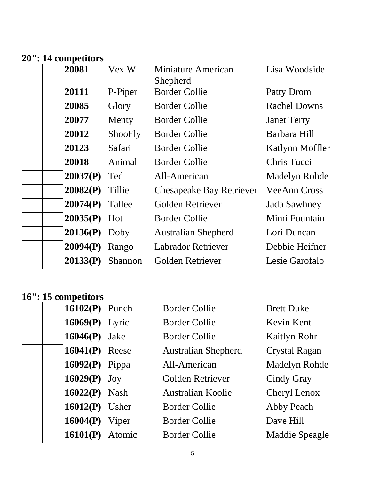## **20": 14 competitors**

| 20081           | Vex W   | <b>Miniature American</b><br>Shepherd | Lisa Woodside       |
|-----------------|---------|---------------------------------------|---------------------|
| 20111           | P-Piper | <b>Border Collie</b>                  | Patty Drom          |
| 20085           | Glory   | <b>Border Collie</b>                  | <b>Rachel Downs</b> |
| 20077           | Menty   | <b>Border Collie</b>                  | <b>Janet Terry</b>  |
| 20012           | ShooFly | <b>Border Collie</b>                  | Barbara Hill        |
| 20123           | Safari  | <b>Border Collie</b>                  | Katlynn Moffler     |
| 20018           | Animal  | <b>Border Collie</b>                  | Chris Tucci         |
| 20037(P)        | Ted     | All-American                          | Madelyn Rohde       |
| 20082(P)        | Tillie  | <b>Chesapeake Bay Retriever</b>       | <b>VeeAnn Cross</b> |
| 20074(P)        | Tallee  | Golden Retriever                      | Jada Sawhney        |
| 20035(P)        | Hot     | <b>Border Collie</b>                  | Mimi Fountain       |
| $20136(P)$ Doby |         | <b>Australian Shepherd</b>            | Lori Duncan         |
| 20094(P)        | Rango   | <b>Labrador Retriever</b>             | Debbie Heifner      |
| 20133(P)        | Shannon | Golden Retriever                      | Lesie Garofalo      |

| $16102(P)$ Punch  | <b>Border Collie</b>       | <b>Brett Duke</b>    |
|-------------------|----------------------------|----------------------|
| $16069(P)$ Lyric  | <b>Border Collie</b>       | Kevin Kent           |
| $16046(P)$ Jake   | <b>Border Collie</b>       | Kaitlyn Rohr         |
| $16041(P)$ Reese  | <b>Australian Shepherd</b> | <b>Crystal Ragan</b> |
| $16092(P)$ Pippa  | All-American               | <b>Madelyn Rohde</b> |
| $16029(P)$ Joy    | Golden Retriever           | Cindy Gray           |
| $16022(P)$ Nash   | Australian Koolie          | Cheryl Lenox         |
| $16012(P)$ Usher  | <b>Border Collie</b>       | Abby Peach           |
| $16004(P)$ Viper  | <b>Border Collie</b>       | Dave Hill            |
| $16101(P)$ Atomic | <b>Border Collie</b>       | Maddie Speagle       |
|                   |                            |                      |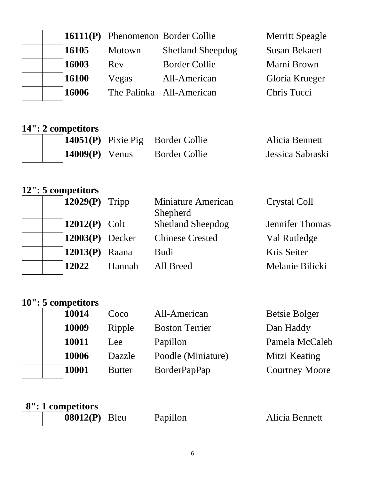|              |        | $\vert 16111(P) \vert$ Phenomenon Border Collie | <b>Merritt Speagle</b> |
|--------------|--------|-------------------------------------------------|------------------------|
| 16105        | Motown | <b>Shetland Sheepdog</b>                        | <b>Susan Bekaert</b>   |
| 16003        | Rev    | <b>Border Collie</b>                            | Marni Brown            |
| <b>16100</b> | Vegas  | All-American                                    | Gloria Krueger         |
| 16006        |        | The Palinka All-American                        | Chris Tucci            |

#### **14": 2 competitors**

|  |                  | $\vert 14051(P) \vert$ Pixie Pig Border Collie | Alicia Bennett   |
|--|------------------|------------------------------------------------|------------------|
|  | $14009(P)$ Venus | <b>Border Collie</b>                           | Jessica Sabraski |

### **12": 5 competitors**

| $12029(P)$ Tripp  |        | <b>Miniature American</b><br>Shepherd | <b>Crystal Coll</b>    |
|-------------------|--------|---------------------------------------|------------------------|
| $12012(P)$ Colt   |        | <b>Shetland Sheepdog</b>              | <b>Jennifer Thomas</b> |
| $12003(P)$ Decker |        | <b>Chinese Crested</b>                | Val Rutledge           |
| $12013(P)$ Raana  |        | <b>Budi</b>                           | Kris Seiter            |
| 12022             | Hannah | All Breed                             | Melanie Bilicki        |

| Dan Haddy             |
|-----------------------|
| Pamela McCaleb        |
| Mitzi Keating         |
| <b>Courtney Moore</b> |
|                       |

| 8": 1 competitors |          |                |
|-------------------|----------|----------------|
| $ 08012(P)$ Bleu  | Papillon | Alicia Bennett |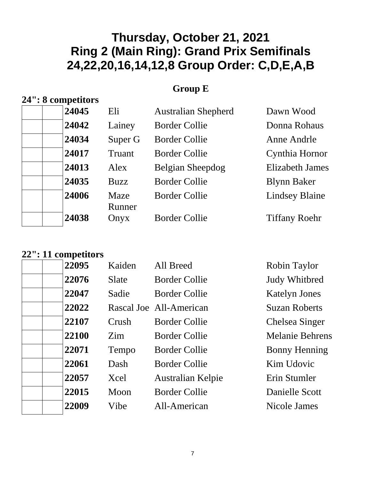#### **Group E**

### **24": 8 competitors**

| 24045 | Eli            | <b>Australian Shepherd</b> | Dawn Wood              |
|-------|----------------|----------------------------|------------------------|
| 24042 | Lainey         | <b>Border Collie</b>       | Donna Rohaus           |
| 24034 | Super G        | <b>Border Collie</b>       | Anne Andrle            |
| 24017 | Truant         | <b>Border Collie</b>       | Cynthia Hornor         |
| 24013 | Alex           | Belgian Sheepdog           | <b>Elizabeth James</b> |
| 24035 | <b>Buzz</b>    | <b>Border Collie</b>       | <b>Blynn Baker</b>     |
| 24006 | Maze<br>Runner | <b>Border Collie</b>       | <b>Lindsey Blaine</b>  |
| 24038 | Onyx           | <b>Border Collie</b>       | <b>Tiffany Roehr</b>   |
|       |                |                            |                        |

| 22095 | Kaiden | All Breed               | Robin Taylor           |
|-------|--------|-------------------------|------------------------|
| 22076 | Slate  | <b>Border Collie</b>    | <b>Judy Whitbred</b>   |
| 22047 | Sadie  | <b>Border Collie</b>    | <b>Katelyn Jones</b>   |
| 22022 |        | Rascal Joe All-American | <b>Suzan Roberts</b>   |
| 22107 | Crush  | <b>Border Collie</b>    | Chelsea Singer         |
| 22100 | Zim    | <b>Border Collie</b>    | <b>Melanie Behrens</b> |
| 22071 | Tempo  | <b>Border Collie</b>    | <b>Bonny Henning</b>   |
| 22061 | Dash   | <b>Border Collie</b>    | Kim Udovic             |
| 22057 | Xcel   | Australian Kelpie       | Erin Stumler           |
| 22015 | Moon   | <b>Border Collie</b>    | Danielle Scott         |
| 22009 | Vibe   | All-American            | Nicole James           |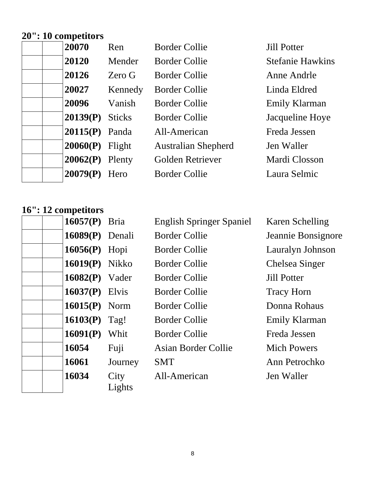# **20": 10 competitors**

| 20120<br><b>Stefanie Hawkins</b><br>Mender<br><b>Border Collie</b><br>20126<br><b>Border Collie</b><br>Zero G<br>Anne Andrle<br>20027<br>Kennedy<br><b>Border Collie</b><br>Linda Eldred<br>20096<br>Vanish<br><b>Border Collie</b><br><b>Emily Klarman</b><br>20139(P)<br>Jacqueline Hoye<br><b>Sticks</b><br><b>Border Collie</b><br>$20115(P)$ Panda<br>All-American<br>Freda Jessen<br>20060(P)<br><b>Australian Shepherd</b><br>Jen Waller<br>Flight<br>20062(P)<br>Golden Retriever<br>Mardi Closson<br>Plenty<br>20079(P)<br><b>Border Collie</b><br>Laura Selmic<br>Hero | 20070 | Ren | <b>Border Collie</b> | <b>Jill Potter</b> |
|----------------------------------------------------------------------------------------------------------------------------------------------------------------------------------------------------------------------------------------------------------------------------------------------------------------------------------------------------------------------------------------------------------------------------------------------------------------------------------------------------------------------------------------------------------------------------------|-------|-----|----------------------|--------------------|
|                                                                                                                                                                                                                                                                                                                                                                                                                                                                                                                                                                                  |       |     |                      |                    |
|                                                                                                                                                                                                                                                                                                                                                                                                                                                                                                                                                                                  |       |     |                      |                    |
|                                                                                                                                                                                                                                                                                                                                                                                                                                                                                                                                                                                  |       |     |                      |                    |
|                                                                                                                                                                                                                                                                                                                                                                                                                                                                                                                                                                                  |       |     |                      |                    |
|                                                                                                                                                                                                                                                                                                                                                                                                                                                                                                                                                                                  |       |     |                      |                    |
|                                                                                                                                                                                                                                                                                                                                                                                                                                                                                                                                                                                  |       |     |                      |                    |
|                                                                                                                                                                                                                                                                                                                                                                                                                                                                                                                                                                                  |       |     |                      |                    |
|                                                                                                                                                                                                                                                                                                                                                                                                                                                                                                                                                                                  |       |     |                      |                    |
|                                                                                                                                                                                                                                                                                                                                                                                                                                                                                                                                                                                  |       |     |                      |                    |

| <b>16057(P)</b> Bria  |                | <b>English Springer Spaniel</b> | Karen Schelling    |
|-----------------------|----------------|---------------------------------|--------------------|
| 16089(P) Denali       |                | <b>Border Collie</b>            | Jeannie Bonsignore |
| 16056(P) Hopi         |                | <b>Border Collie</b>            | Lauralyn Johnson   |
| <b>16019(P)</b> Nikko |                | <b>Border Collie</b>            | Chelsea Singer     |
| $16082(P)$ Vader      |                | <b>Border Collie</b>            | <b>Jill Potter</b> |
| $16037(P)$ Elvis      |                | <b>Border Collie</b>            | <b>Tracy Horn</b>  |
| $16015(P)$ Norm       |                | <b>Border Collie</b>            | Donna Rohaus       |
| 16103(P)              | Tag!           | <b>Border Collie</b>            | Emily Klarman      |
| 16091(P)              | Whit           | <b>Border Collie</b>            | Freda Jessen       |
| 16054                 | Fuji           | Asian Border Collie             | <b>Mich Powers</b> |
| 16061                 | Journey        | <b>SMT</b>                      | Ann Petrochko      |
| 16034                 | City<br>Lights | All-American                    | Jen Waller         |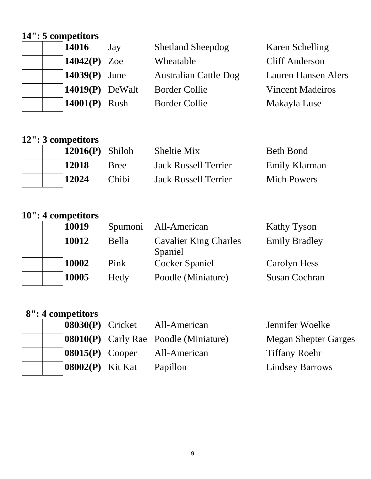### **14": 5 competitors**

| 14016                         | Jay | <b>Shetland Sheepdog</b>     | Karen Schelling            |
|-------------------------------|-----|------------------------------|----------------------------|
| 14042(P) Zoe                  |     | Wheatable                    | <b>Cliff Anderson</b>      |
| $14039(P)$ June               |     | <b>Australian Cattle Dog</b> | <b>Lauren Hansen Alers</b> |
| $\vert 14019(P) \vert$ DeWalt |     | <b>Border Collie</b>         | <b>Vincent Madeiros</b>    |
| $14001(P)$ Rush               |     | <b>Border Collie</b>         | Makayla Luse               |

# **12": 3 competitors**

|  | $12016(P)$ Shiloh |             | <b>Sheltie Mix</b>          | <b>Beth Bond</b>   |
|--|-------------------|-------------|-----------------------------|--------------------|
|  | 12018             | <b>Bree</b> | <b>Jack Russell Terrier</b> | Emily Klarman      |
|  | 12024             | Chibi       | <b>Jack Russell Terrier</b> | <b>Mich Powers</b> |

|  | 10019 | Spumoni | All-American                            | <b>Kathy Tyson</b>   |
|--|-------|---------|-----------------------------------------|----------------------|
|  | 10012 | Bella   | <b>Cavalier King Charles</b><br>Spaniel | <b>Emily Bradley</b> |
|  | 10002 | Pink    | <b>Cocker Spaniel</b>                   | Carolyn Hess         |
|  | 10005 | Hedy    | Poodle (Miniature)                      | <b>Susan Cochran</b> |

| 8": 4 competitors                 |                                              |                             |
|-----------------------------------|----------------------------------------------|-----------------------------|
| $ 08030(P)$ Cricket               | All-American                                 | Jennifer Woelke             |
|                                   | <b>08010(P)</b> Carly Rae Poodle (Miniature) | <b>Megan Shepter Garges</b> |
| $\vert 08015(P) \vert$ Cooper     | All-American                                 | <b>Tiffany Roehr</b>        |
| $\left  08002(P) \right $ Kit Kat | Papillon                                     | <b>Lindsey Barrows</b>      |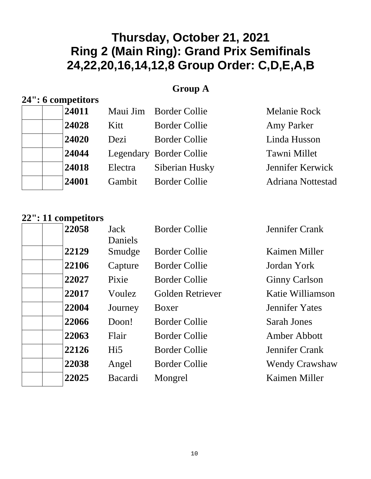#### **Group A**

#### **24": 6 competitors**

|  | 24011 |         | Maui Jim Border Collie  | <b>Melanie Rock</b>      |
|--|-------|---------|-------------------------|--------------------------|
|  | 24028 | Kitt    | <b>Border Collie</b>    | <b>Amy Parker</b>        |
|  | 24020 | Dezi    | <b>Border Collie</b>    | Linda Husson             |
|  | 24044 |         | Legendary Border Collie | Tawni Millet             |
|  | 24018 | Electra | Siberian Husky          | Jennifer Kerwick         |
|  | 24001 | Gambit  | <b>Border Collie</b>    | <b>Adriana Nottestad</b> |
|  |       |         |                         |                          |

| 22058 | Jack<br>Daniels | <b>Border Collie</b> | <b>Jennifer Crank</b> |
|-------|-----------------|----------------------|-----------------------|
| 22129 | Smudge          | <b>Border Collie</b> | Kaimen Miller         |
| 22106 | Capture         | <b>Border Collie</b> | Jordan York           |
| 22027 | Pixie           | Border Collie        | <b>Ginny Carlson</b>  |
| 22017 | Voulez          | Golden Retriever     | Katie Williamson      |
| 22004 | Journey         | Boxer                | <b>Jennifer Yates</b> |
| 22066 | Doon!           | <b>Border Collie</b> | <b>Sarah Jones</b>    |
| 22063 | Flair           | <b>Border Collie</b> | Amber Abbott          |
| 22126 | Hi5             | <b>Border Collie</b> | Jennifer Crank        |
| 22038 | Angel           | <b>Border Collie</b> | <b>Wendy Crawshaw</b> |
| 22025 | Bacardi         | Mongrel              | Kaimen Miller         |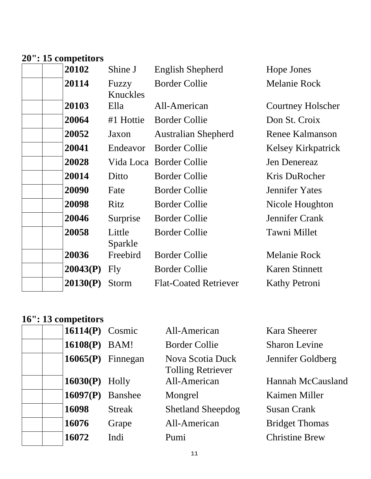### **20": 15 competitors**

| 20102    | Shine J           | <b>English Shepherd</b>      | Hope Jones              |
|----------|-------------------|------------------------------|-------------------------|
| 20114    | Fuzzy<br>Knuckles | <b>Border Collie</b>         | <b>Melanie Rock</b>     |
| 20103    | Ella              | All-American                 | Courtney Holscher       |
| 20064    | #1 Hottie         | <b>Border Collie</b>         | Don St. Croix           |
| 20052    | Jaxon             | <b>Australian Shepherd</b>   | <b>Renee Kalmanson</b>  |
| 20041    | Endeavor          | <b>Border Collie</b>         | Kelsey Kirkpatrick      |
| 20028    |                   |                              | Jen Denereaz            |
| 20014    | Ditto             | <b>Border Collie</b>         | Kris DuRocher           |
| 20090    | Fate              | <b>Border Collie</b>         | <b>Jennifer Yates</b>   |
| 20098    | Ritz              | <b>Border Collie</b>         | Nicole Houghton         |
| 20046    | Surprise          | <b>Border Collie</b>         | Jennifer Crank          |
| 20058    | Little<br>Sparkle | <b>Border Collie</b>         | Tawni Millet            |
| 20036    | Freebird          | <b>Border Collie</b>         | <b>Melanie Rock</b>     |
| 20043(P) | Fly               | <b>Border Collie</b>         | <b>Karen Stinnett</b>   |
| 20130(P) | Storm             | <b>Flat-Coated Retriever</b> | <b>Kathy Petroni</b>    |
|          |                   |                              | Vida Loca Border Collie |

| 16114 $(P)$ Cosmic    |                | All-American                                 | <b>Kara Sheerer</b>      |
|-----------------------|----------------|----------------------------------------------|--------------------------|
| 16108(P)              | BAM!           | <b>Border Collie</b>                         | <b>Sharon Levine</b>     |
| $16065(P)$ Finnegan   |                | Nova Scotia Duck<br><b>Tolling Retriever</b> | Jennifer Goldberg        |
| <b>16030(P)</b> Holly |                | All-American                                 | <b>Hannah McCausland</b> |
| 16097(P)              | <b>Banshee</b> | Mongrel                                      | Kaimen Miller            |
| 16098                 | <b>Streak</b>  | <b>Shetland Sheepdog</b>                     | <b>Susan Crank</b>       |
| 16076                 | Grape          | All-American                                 | <b>Bridget Thomas</b>    |
| 16072                 | Indi           | Pumi                                         | <b>Christine Brew</b>    |
|                       |                |                                              |                          |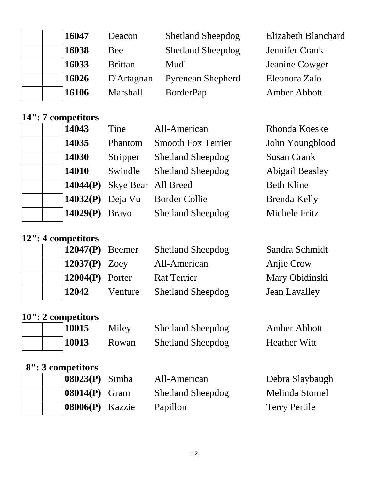| 16047 | Deacon          | <b>Shetland Sheepdog</b> | Elizabeth Blanchard |
|-------|-----------------|--------------------------|---------------------|
| 16038 | Bee             | <b>Shetland Sheepdog</b> | Jennifer Crank      |
| 16033 | <b>Brittan</b>  | Mudi                     | Jeanine Cowger      |
| 16026 | D'Artagnan      | <b>Pyrenean Shepherd</b> | Eleonora Zalo       |
| 16106 | <b>Marshall</b> | <b>BorderPap</b>         | Amber Abbott        |

### **14": 7 competitors**

| 14043    | Tine                | All-American              | Rhonda Koeske          |
|----------|---------------------|---------------------------|------------------------|
| 14035    | Phantom             | <b>Smooth Fox Terrier</b> | John Youngblood        |
| 14030    | Stripper            | <b>Shetland Sheepdog</b>  | <b>Susan Crank</b>     |
| 14010    | Swindle             | <b>Shetland Sheepdog</b>  | <b>Abigail Beasley</b> |
| 14044(P) | Skye Bear All Breed |                           | <b>Beth Kline</b>      |
| 14032(P) | Deja Vu             | <b>Border Collie</b>      | <b>Brenda Kelly</b>    |
| 14029(P) | <b>Bravo</b>        | <b>Shetland Sheepdog</b>  | Michele Fritz          |

### **12": 4 competitors**

| $\vert 12047(P) \vert$ Beemer | <b>Shetland Sheepdog</b> | Sandra Schmidt       |
|-------------------------------|--------------------------|----------------------|
| $\vert 12037(P) \vert$ Zoey   | All-American             | Anjie Crow           |
| $\vert 12004(P) \vert$ Porter | <b>Rat Terrier</b>       | Mary Obidinski       |
| 12042<br>Venture              | <b>Shetland Sheepdog</b> | <b>Jean Lavalley</b> |

### **10": 2 competitors**

| 10015 | Miley | <b>Shetland Sheepdog</b> | <b>Amber Abbott</b> |
|-------|-------|--------------------------|---------------------|
| 10013 | Rowan | <b>Shetland Sheepdog</b> | <b>Heather Witt</b> |

| $ 08023(P)$ Simba  | All-American             | Debra Slaybaugh      |
|--------------------|--------------------------|----------------------|
| $ 08014(P)$ Gram   | <b>Shetland Sheepdog</b> | Melinda Stomel       |
| $ 08006(P)$ Kazzie | Papillon                 | <b>Terry Pertile</b> |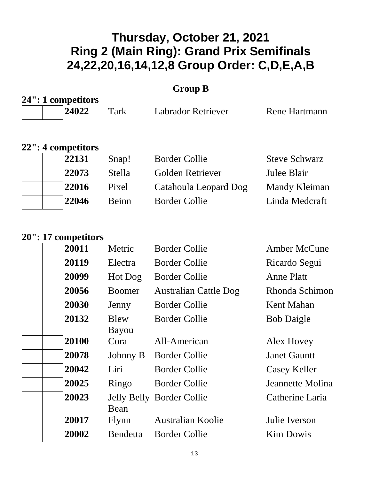#### **Group B**

| 24": 1 competitors |      |                    |               |
|--------------------|------|--------------------|---------------|
| 124022             | Tark | Labrador Retriever | Rene Hartmann |

#### **22": 4 competitors**

| 22131 | Snap!  | <b>Border Collie</b>  | <b>Steve Schwarz</b> |
|-------|--------|-----------------------|----------------------|
| 22073 | Stella | Golden Retriever      | Julee Blair          |
| 22016 | Pixel  | Catahoula Leopard Dog | Mandy Kleiman        |
| 22046 | Beinn  | <b>Border Collie</b>  | Linda Medcraft       |
|       |        |                       |                      |

| 20011 | Metric          | <b>Border Collie</b>         | <b>Amber McCune</b> |
|-------|-----------------|------------------------------|---------------------|
| 20119 | Electra         | <b>Border Collie</b>         | Ricardo Segui       |
| 20099 | Hot Dog         | <b>Border Collie</b>         | <b>Anne Platt</b>   |
| 20056 | <b>Boomer</b>   | <b>Australian Cattle Dog</b> | Rhonda Schimon      |
| 20030 | Jenny           | <b>Border Collie</b>         | Kent Mahan          |
| 20132 | Blew<br>Bayou   | <b>Border Collie</b>         | <b>Bob Daigle</b>   |
| 20100 | Cora            | All-American                 | Alex Hovey          |
| 20078 | Johnny B        | <b>Border Collie</b>         | <b>Janet Gauntt</b> |
| 20042 | Liri            | <b>Border Collie</b>         | <b>Casey Keller</b> |
| 20025 | Ringo           | <b>Border Collie</b>         | Jeannette Molina    |
| 20023 | Bean            | Jelly Belly Border Collie    | Catherine Laria     |
| 20017 | Flynn           | <b>Australian Koolie</b>     | Julie Iverson       |
| 20002 | <b>Bendetta</b> | <b>Border Collie</b>         | <b>Kim Dowis</b>    |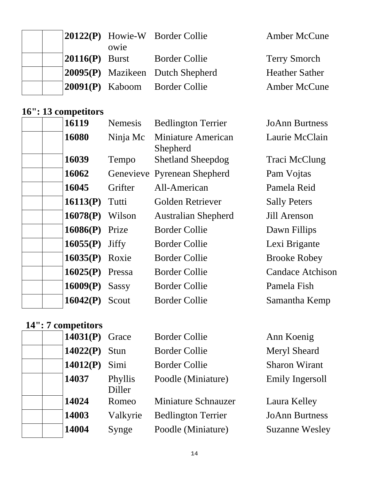|                   | owie | <b>20122(P)</b> Howie-W Border Collie   | <b>Amber McCune</b>   |
|-------------------|------|-----------------------------------------|-----------------------|
| $ 20116(P)$ Burst |      | <b>Border Collie</b>                    | <b>Terry Smorch</b>   |
|                   |      | <b>20095(P)</b> Mazikeen Dutch Shepherd | <b>Heather Sather</b> |
|                   |      | <b>20091(P)</b> Kaboom Border Collie    | <b>Amber McCune</b>   |

# **16": 13 competitors**

| 16119                 | <b>Nemesis</b> | <b>Bedlington Terrier</b>      | <b>JoAnn Burtness</b>   |
|-----------------------|----------------|--------------------------------|-------------------------|
| 16080                 | Ninja Mc       | Miniature American<br>Shepherd | Laurie McClain          |
| 16039                 | Tempo          | <b>Shetland Sheepdog</b>       | Traci McClung           |
| 16062                 |                | Genevieve Pyrenean Shepherd    | Pam Vojtas              |
| 16045                 | Grifter        | All-American                   | Pamela Reid             |
| 16113(P)              | Tutti          | Golden Retriever               | <b>Sally Peters</b>     |
| 16078(P)              | Wilson         | <b>Australian Shepherd</b>     | Jill Arenson            |
| $16086(P)$ Prize      |                | <b>Border Collie</b>           | Dawn Fillips            |
| $16055(P)$ Jiffy      |                | <b>Border Collie</b>           | Lexi Brigante           |
| <b>16035(P)</b> Roxie |                | <b>Border Collie</b>           | <b>Brooke Robey</b>     |
| $16025(P)$ Pressa     |                | <b>Border Collie</b>           | <b>Candace Atchison</b> |
| 16009(P)              | <b>Sassy</b>   | <b>Border Collie</b>           | Pamela Fish             |
| 16042(P)              | Scout          | <b>Border Collie</b>           | Samantha Kemp           |
|                       |                |                                |                         |

| $14031(P)$ Grace |                   | <b>Border Collie</b>       | Ann Koenig            |
|------------------|-------------------|----------------------------|-----------------------|
| 14022(P)         | Stun              | <b>Border Collie</b>       | <b>Meryl Sheard</b>   |
| 14012(P)         | Simi              | <b>Border Collie</b>       | <b>Sharon Wirant</b>  |
| 14037            | Phyllis<br>Diller | Poodle (Miniature)         | Emily Ingersoll       |
| 14024            | Romeo             | <b>Miniature Schnauzer</b> | Laura Kelley          |
| 14003            | Valkyrie          | <b>Bedlington Terrier</b>  | <b>JoAnn Burtness</b> |
| 14004            | Synge             | Poodle (Miniature)         | <b>Suzanne Wesley</b> |